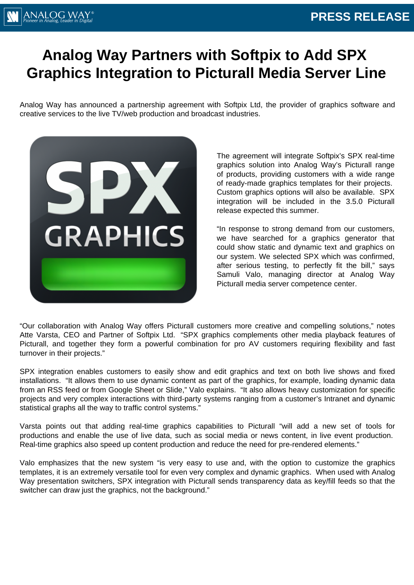# \NALOG WA

#### **PRESS RELEASE**

# **Analog Way Partners with Softpix to Add SPX Graphics Integration to Picturall Media Server Line**

Analog Way has announced a partnership agreement with Softpix Ltd, the provider of graphics software and creative services to the live TV/web production and broadcast industries.



The agreement will integrate Softpix's SPX real-time graphics solution into Analog Way's Picturall range of products, providing customers with a wide range of ready-made graphics templates for their projects. Custom graphics options will also be available. SPX integration will be included in the 3.5.0 Picturall release expected this summer.

"In response to strong demand from our customers, we have searched for a graphics generator that could show static and dynamic text and graphics on our system. We selected SPX which was confirmed, after serious testing, to perfectly fit the bill," says Samuli Valo, managing director at Analog Way Picturall media server competence center.

"Our collaboration with Analog Way offers Picturall customers more creative and compelling solutions," notes Atte Varsta, CEO and Partner of Softpix Ltd. "SPX graphics complements other media playback features of Picturall, and together they form a powerful combination for pro AV customers requiring flexibility and fast turnover in their projects."

SPX integration enables customers to easily show and edit graphics and text on both live shows and fixed installations. "It allows them to use dynamic content as part of the graphics, for example, loading dynamic data from an RSS feed or from Google Sheet or Slide," Valo explains. "It also allows heavy customization for specific projects and very complex interactions with third-party systems ranging from a customer's Intranet and dynamic statistical graphs all the way to traffic control systems."

Varsta points out that adding real-time graphics capabilities to Picturall "will add a new set of tools for productions and enable the use of live data, such as social media or news content, in live event production. Real-time graphics also speed up content production and reduce the need for pre-rendered elements."

Valo emphasizes that the new system "is very easy to use and, with the option to customize the graphics templates, it is an extremely versatile tool for even very complex and dynamic graphics. When used with Analog Way presentation switchers, SPX integration with Picturall sends transparency data as key/fill feeds so that the switcher can draw just the graphics, not the background."